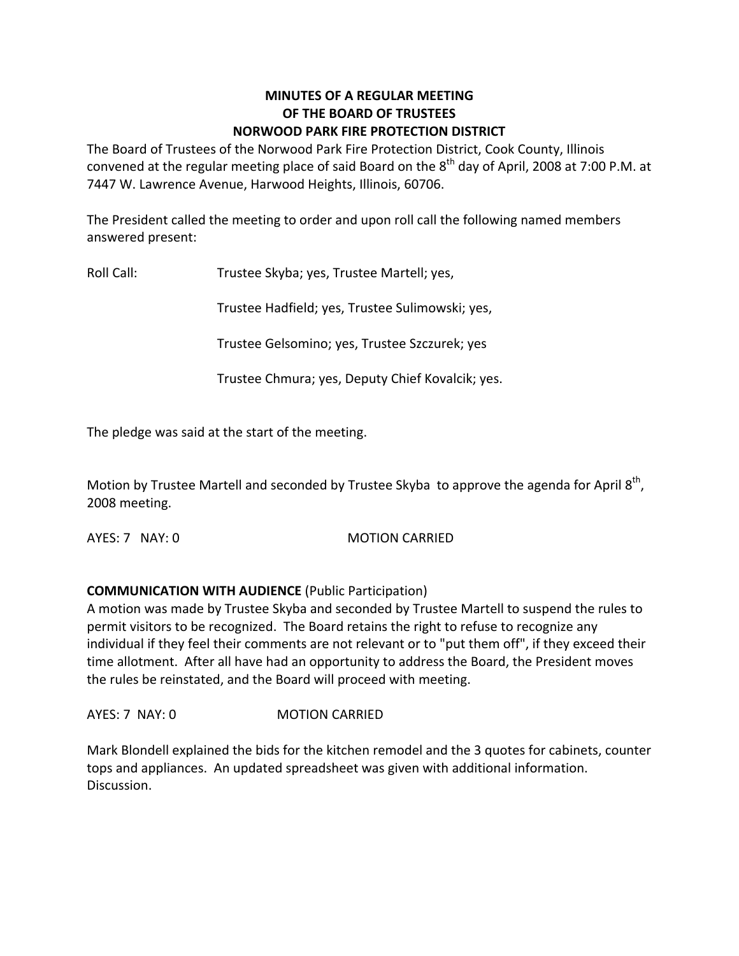#### **MINUTES OF A REGULAR MEETING OF THE BOARD OF TRUSTEES NORWOOD PARK FIRE PROTECTION DISTRICT**

The Board of Trustees of the Norwood Park Fire Protection District, Cook County, Illinois convened at the regular meeting place of said Board on the  $8^{\text{th}}$  day of April, 2008 at 7:00 P.M. at 7447 W. Lawrence Avenue, Harwood Heights, Illinois, 60706.

The President called the meeting to order and upon roll call the following named members answered present:

Roll Call: Trustee Skyba; yes, Trustee Martell; yes,

Trustee Hadfield; yes, Trustee Sulimowski; yes,

Trustee Gelsomino; yes, Trustee Szczurek; yes

Trustee Chmura; yes, Deputy Chief Kovalcik; yes.

The pledge was said at the start of the meeting.

Motion by Trustee Martell and seconded by Trustee Skyba to approve the agenda for April  $8<sup>th</sup>$ , 2008 meeting.

AYES: 7 NAY: 0 MOTION CARRIED

## **COMMUNICATION WITH AUDIENCE** (Public Participation)

A motion was made by Trustee Skyba and seconded by Trustee Martell to suspend the rules to permit visitors to be recognized. The Board retains the right to refuse to recognize any individual if they feel their comments are not relevant or to "put them off", if they exceed their time allotment. After all have had an opportunity to address the Board, the President moves the rules be reinstated, and the Board will proceed with meeting.

AYES: 7 NAY: 0 **MOTION CARRIED** 

Mark Blondell explained the bids for the kitchen remodel and the 3 quotes for cabinets, counter tops and appliances. An updated spreadsheet was given with additional information. Discussion.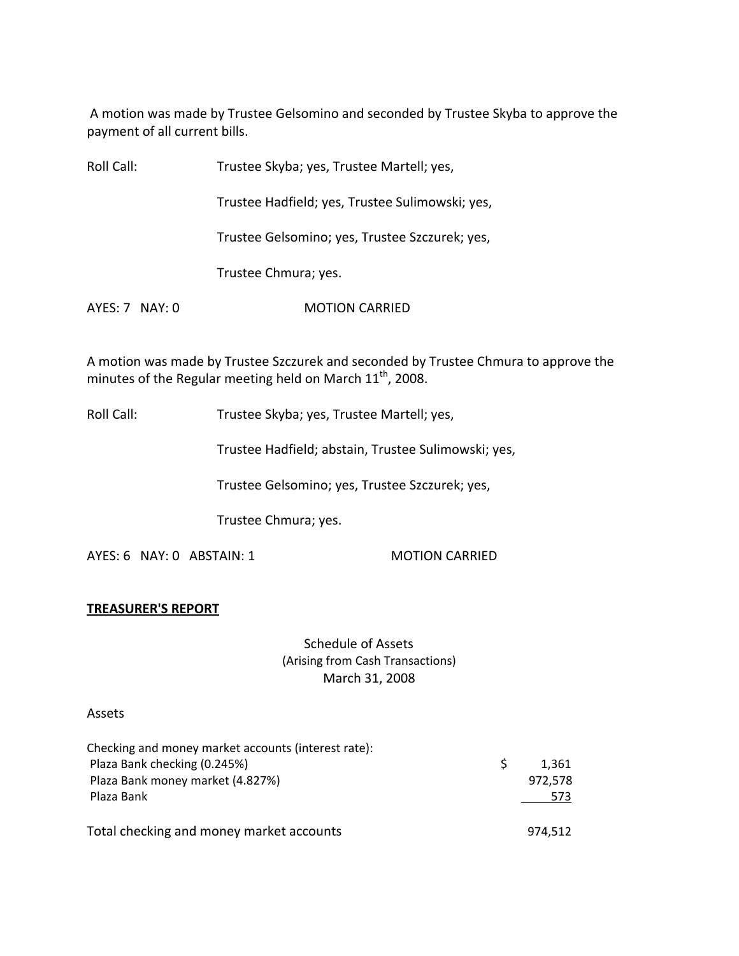A motion was made by Trustee Gelsomino and seconded by Trustee Skyba to approve the payment of all current bills.

| Roll Call:     | Trustee Skyba; yes, Trustee Martell; yes,       |
|----------------|-------------------------------------------------|
|                | Trustee Hadfield; yes, Trustee Sulimowski; yes, |
|                | Trustee Gelsomino; yes, Trustee Szczurek; yes,  |
|                | Trustee Chmura; yes.                            |
| AYES: 7 NAY: 0 | <b>MOTION CARRIED</b>                           |

A motion was made by Trustee Szczurek and seconded by Trustee Chmura to approve the minutes of the Regular meeting held on March  $11^{\text{th}}$ , 2008.

Roll Call: Trustee Skyba; yes, Trustee Martell; yes,

Trustee Hadfield; abstain, Trustee Sulimowski; yes,

Trustee Gelsomino; yes, Trustee Szczurek; yes,

Trustee Chmura; yes.

AYES: 6 NAY: 0 ABSTAIN: 1 MOTION CARRIED

#### **TREASURER'S REPORT**

Schedule of Assets (Arising from Cash Transactions) March 31, 2008

#### Assets

| Checking and money market accounts (interest rate): |         |  |
|-----------------------------------------------------|---------|--|
| Plaza Bank checking (0.245%)                        | 1.361   |  |
| Plaza Bank money market (4.827%)                    | 972,578 |  |
| Plaza Bank                                          | 573     |  |
| Total checking and money market accounts            | 974,512 |  |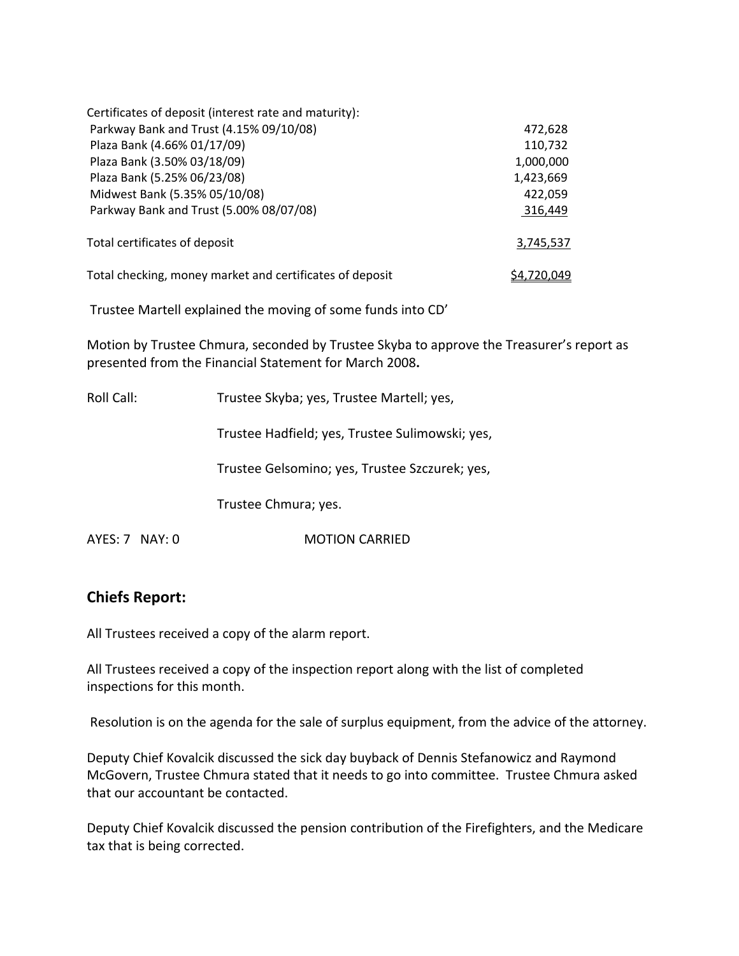| Certificates of deposit (interest rate and maturity):    |           |
|----------------------------------------------------------|-----------|
| Parkway Bank and Trust (4.15% 09/10/08)                  | 472,628   |
| Plaza Bank (4.66% 01/17/09)                              | 110,732   |
| Plaza Bank (3.50% 03/18/09)                              | 1,000,000 |
| Plaza Bank (5.25% 06/23/08)                              | 1,423,669 |
| Midwest Bank (5.35% 05/10/08)                            | 422,059   |
| Parkway Bank and Trust (5.00% 08/07/08)                  | 316,449   |
| Total certificates of deposit                            | 3,745,537 |
| Total checking, money market and certificates of deposit |           |

Trustee Martell explained the moving of some funds into CD'

Motion by Trustee Chmura, seconded by Trustee Skyba to approve the Treasurer's report as presented from the Financial Statement for March 2008**.**

| Roll Call:         | Trustee Skyba; yes, Trustee Martell; yes,       |
|--------------------|-------------------------------------------------|
|                    | Trustee Hadfield; yes, Trustee Sulimowski; yes, |
|                    | Trustee Gelsomino; yes, Trustee Szczurek; yes,  |
|                    | Trustee Chmura; yes.                            |
| $AYES: 7$ NAY: $0$ | <b>MOTION CARRIED</b>                           |

# **Chiefs Report:**

All Trustees received a copy of the alarm report.

All Trustees received a copy of the inspection report along with the list of completed inspections for this month.

Resolution is on the agenda for the sale of surplus equipment, from the advice of the attorney.

Deputy Chief Kovalcik discussed the sick day buyback of Dennis Stefanowicz and Raymond McGovern, Trustee Chmura stated that it needs to go into committee. Trustee Chmura asked that our accountant be contacted.

Deputy Chief Kovalcik discussed the pension contribution of the Firefighters, and the Medicare tax that is being corrected.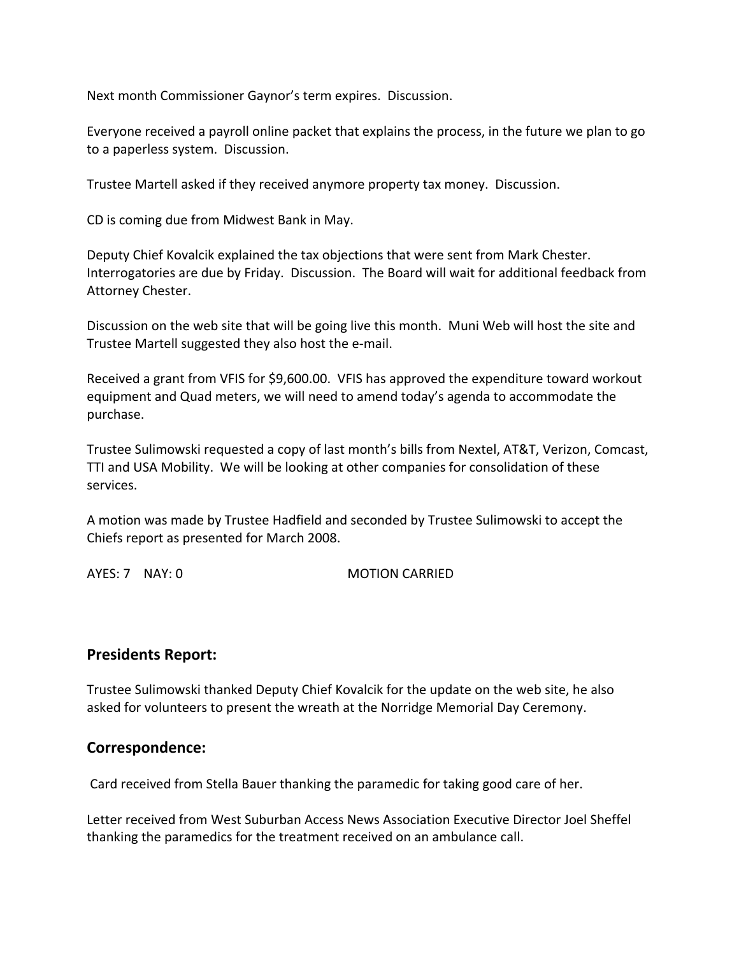Next month Commissioner Gaynor's term expires. Discussion.

Everyone received a payroll online packet that explains the process, in the future we plan to go to a paperless system. Discussion.

Trustee Martell asked if they received anymore property tax money. Discussion.

CD is coming due from Midwest Bank in May.

Deputy Chief Kovalcik explained the tax objections that were sent from Mark Chester. Interrogatories are due by Friday. Discussion. The Board will wait for additional feedback from Attorney Chester.

Discussion on the web site that will be going live this month. Muni Web will host the site and Trustee Martell suggested they also host the e‐mail.

Received a grant from VFIS for \$9,600.00. VFIS has approved the expenditure toward workout equipment and Quad meters, we will need to amend today's agenda to accommodate the purchase.

Trustee Sulimowski requested a copy of last month's bills from Nextel, AT&T, Verizon, Comcast, TTI and USA Mobility. We will be looking at other companies for consolidation of these services.

A motion was made by Trustee Hadfield and seconded by Trustee Sulimowski to accept the Chiefs report as presented for March 2008.

AYES: 7 NAY: 0 MOTION CARRIED

## **Presidents Report:**

Trustee Sulimowski thanked Deputy Chief Kovalcik for the update on the web site, he also asked for volunteers to present the wreath at the Norridge Memorial Day Ceremony.

## **Correspondence:**

Card received from Stella Bauer thanking the paramedic for taking good care of her.

Letter received from West Suburban Access News Association Executive Director Joel Sheffel thanking the paramedics for the treatment received on an ambulance call.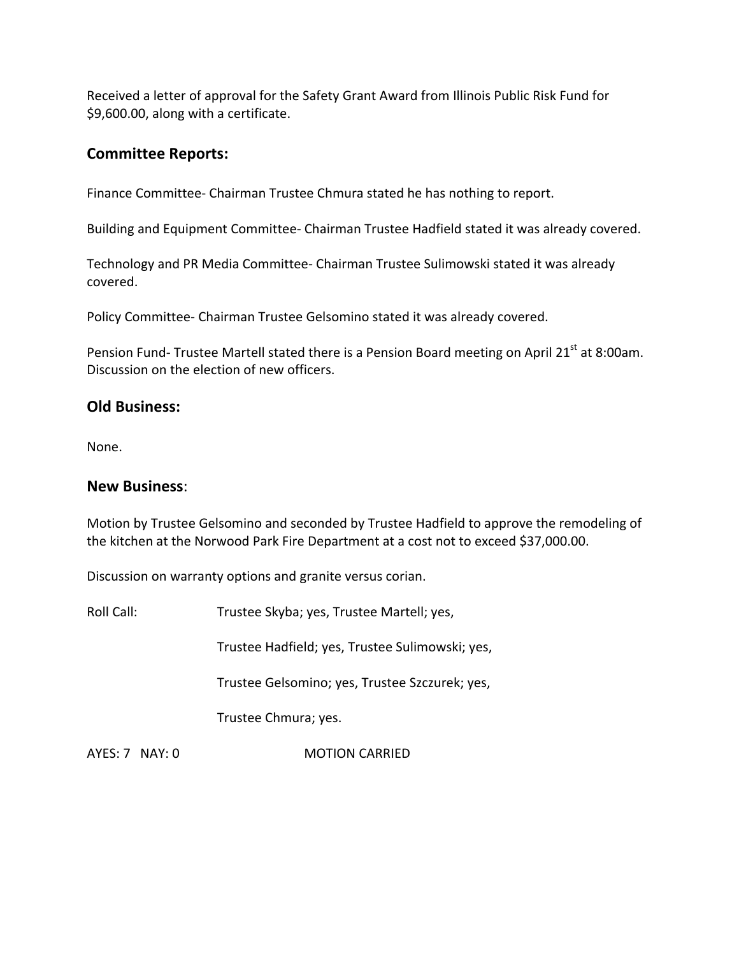Received a letter of approval for the Safety Grant Award from Illinois Public Risk Fund for \$9,600.00, along with a certificate.

# **Committee Reports:**

Finance Committee‐ Chairman Trustee Chmura stated he has nothing to report.

Building and Equipment Committee‐ Chairman Trustee Hadfield stated it was already covered.

Technology and PR Media Committee‐ Chairman Trustee Sulimowski stated it was already covered.

Policy Committee‐ Chairman Trustee Gelsomino stated it was already covered.

Pension Fund- Trustee Martell stated there is a Pension Board meeting on April 21<sup>st</sup> at 8:00am. Discussion on the election of new officers.

## **Old Business:**

None.

## **New Business**:

Motion by Trustee Gelsomino and seconded by Trustee Hadfield to approve the remodeling of the kitchen at the Norwood Park Fire Department at a cost not to exceed \$37,000.00.

Discussion on warranty options and granite versus corian.

Roll Call: Trustee Skyba; yes, Trustee Martell; yes,

Trustee Hadfield; yes, Trustee Sulimowski; yes,

Trustee Gelsomino; yes, Trustee Szczurek; yes,

Trustee Chmura; yes.

AYES: 7 NAY: 0 **MOTION CARRIED**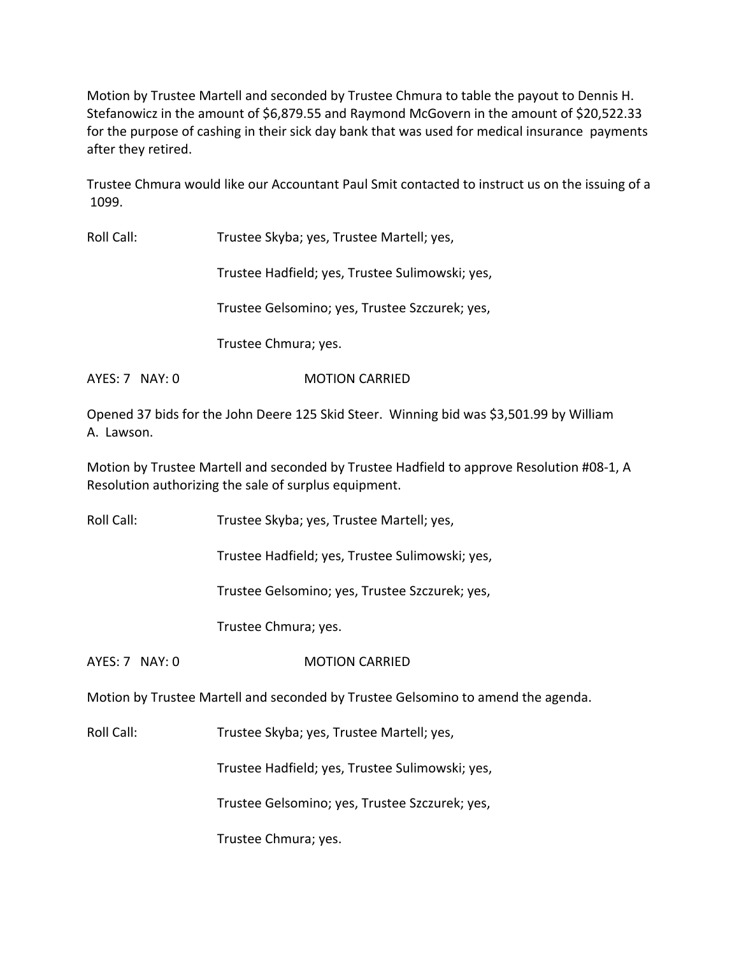Motion by Trustee Martell and seconded by Trustee Chmura to table the payout to Dennis H. Stefanowicz in the amount of \$6,879.55 and Raymond McGovern in the amount of \$20,522.33 for the purpose of cashing in their sick day bank that was used for medical insurance payments after they retired.

Trustee Chmura would like our Accountant Paul Smit contacted to instruct us on the issuing of a 1099.

Roll Call: Trustee Skyba; yes, Trustee Martell; yes,

Trustee Hadfield; yes, Trustee Sulimowski; yes,

Trustee Gelsomino; yes, Trustee Szczurek; yes,

Trustee Chmura; yes.

AYES: 7 NAY: 0 MOTION CARRIED

Opened 37 bids for the John Deere 125 Skid Steer. Winning bid was \$3,501.99 by William A. Lawson.

Motion by Trustee Martell and seconded by Trustee Hadfield to approve Resolution #08‐1, A Resolution authorizing the sale of surplus equipment.

Roll Call: Trustee Skyba; yes, Trustee Martell; yes,

Trustee Hadfield; yes, Trustee Sulimowski; yes,

Trustee Gelsomino; yes, Trustee Szczurek; yes,

Trustee Chmura; yes.

AYES: 7 NAY: 0 **MOTION CARRIED** 

Motion by Trustee Martell and seconded by Trustee Gelsomino to amend the agenda.

Roll Call: Trustee Skyba; yes, Trustee Martell; yes,

Trustee Hadfield; yes, Trustee Sulimowski; yes,

Trustee Gelsomino; yes, Trustee Szczurek; yes,

Trustee Chmura; yes.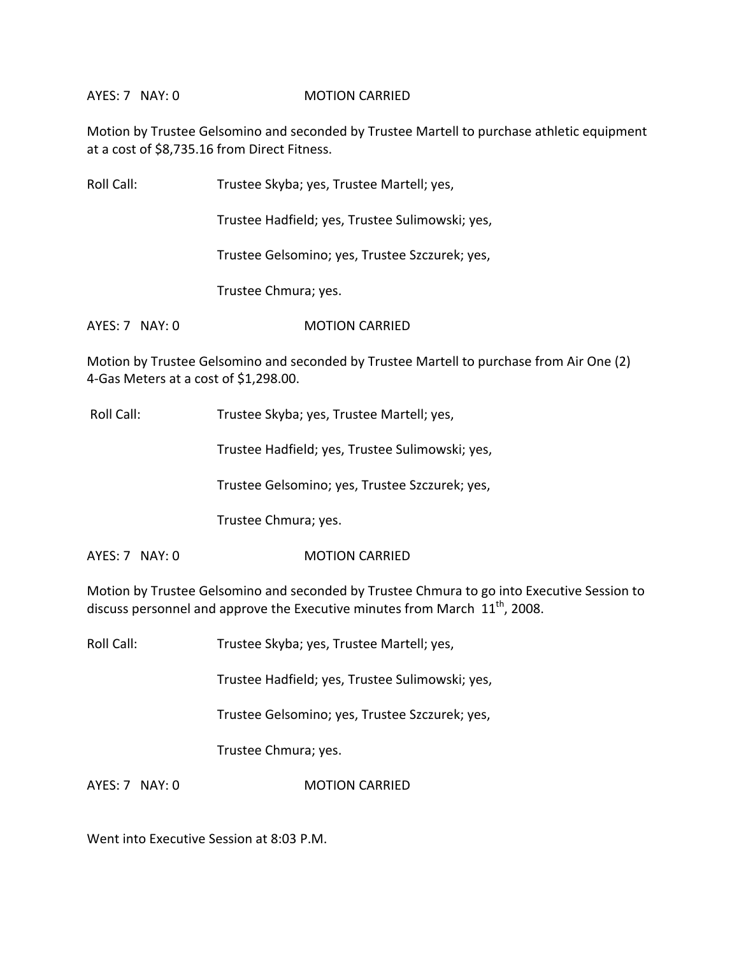#### AYES: 7 NAY: 0 MOTION CARRIED

Motion by Trustee Gelsomino and seconded by Trustee Martell to purchase athletic equipment at a cost of \$8,735.16 from Direct Fitness.

| Roll Call:     | Trustee Skyba; yes, Trustee Martell; yes,       |
|----------------|-------------------------------------------------|
|                | Trustee Hadfield; yes, Trustee Sulimowski; yes, |
|                | Trustee Gelsomino; yes, Trustee Szczurek; yes,  |
|                | Trustee Chmura; yes.                            |
| AYES: 7 NAY: 0 | <b>MOTION CARRIED</b>                           |

Motion by Trustee Gelsomino and seconded by Trustee Martell to purchase from Air One (2) 4‐Gas Meters at a cost of \$1,298.00.

Roll Call: Trustee Skyba; yes, Trustee Martell; yes,

Trustee Hadfield; yes, Trustee Sulimowski; yes,

Trustee Gelsomino; yes, Trustee Szczurek; yes,

Trustee Chmura; yes.

AYES: 7 NAY: 0 MOTION CARRIED

Motion by Trustee Gelsomino and seconded by Trustee Chmura to go into Executive Session to discuss personnel and approve the Executive minutes from March  $11^{\text{th}}$ , 2008.

Roll Call: Trustee Skyba; yes, Trustee Martell; yes,

Trustee Hadfield; yes, Trustee Sulimowski; yes,

Trustee Gelsomino; yes, Trustee Szczurek; yes,

Trustee Chmura; yes.

AYES: 7 NAY: 0 **MOTION CARRIED** 

Went into Executive Session at 8:03 P.M.